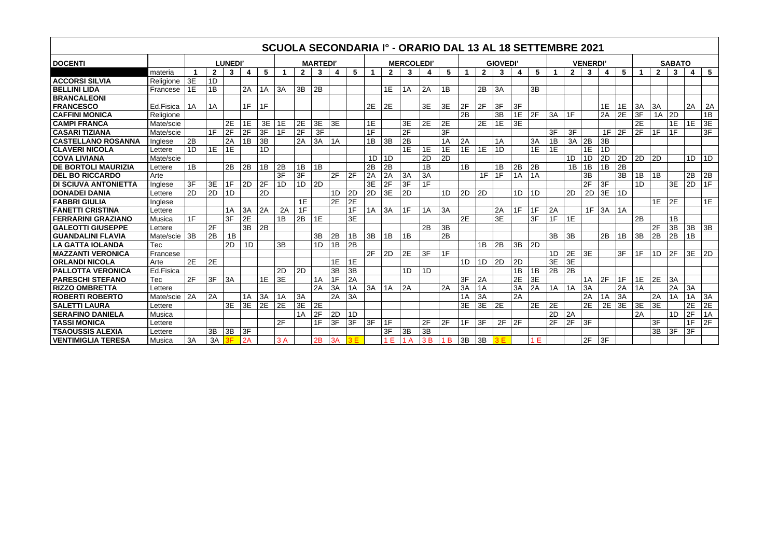|                             |                |                |              |    |    |                  |    |              |    |    |                   |    |              |                | SCUOLA SECONDARIA Iº - ORARIO DAL 13 AL 18 SETTEMBRE 2021 |                 |    |              |                 |    |    |    |                 |    |    |                 |    |                |    |    |             |
|-----------------------------|----------------|----------------|--------------|----|----|------------------|----|--------------|----|----|-------------------|----|--------------|----------------|-----------------------------------------------------------|-----------------|----|--------------|-----------------|----|----|----|-----------------|----|----|-----------------|----|----------------|----|----|-------------|
| <b>DOCENTI</b>              |                | <b>LUNEDI'</b> |              |    |    | <b>MARTEDI</b> ' |    |              |    |    | <b>MERCOLEDI'</b> |    |              |                | <b>GIOVEDI'</b>                                           |                 |    |              | <b>VENERDI'</b> |    |    |    | <b>SABATO</b>   |    |    |                 |    |                |    |    |             |
|                             | materia        | 1              | $\mathbf{2}$ | 3  | 4  | $5\phantom{.0}$  |    | $\mathbf{2}$ | 3  | 4  | $5\overline{)}$   |    | $\mathbf{2}$ | 3              | 4                                                         | 5               |    | $\mathbf{2}$ | 3               | 4  | 5  |    | $\mathbf{2}$    | 3  | 4  | $5\phantom{.0}$ |    | $\overline{2}$ | 3  | 4  | $5^{\circ}$ |
| <b>ACCORSI SILVIA</b>       | Religione      | 3E             | 1D           |    |    |                  |    |              |    |    |                   |    |              |                |                                                           |                 |    |              |                 |    |    |    |                 |    |    |                 |    |                |    |    |             |
| <b>BELLINI LIDA</b>         | Francese       | 1E             | 1B           |    | 2A | 1A               | 3A | 3B           | 2B |    |                   |    | 1E           | 1A             | 2A                                                        | 1B              |    | 2B           | 3A              |    | 3B |    |                 |    |    |                 |    |                |    |    |             |
| <b>BRANCALEONI</b>          |                |                |              |    |    |                  |    |              |    |    |                   |    |              |                |                                                           |                 |    |              |                 |    |    |    |                 |    |    |                 |    |                |    |    |             |
| <b>FRANCESCO</b>            | Ed.Fisica      | 1A             | 1A           |    | 1F | 1F               |    |              |    |    |                   | 2E | 2E           |                | 3E                                                        | 3E              | 2F | 2F           | 3F              | 3F |    |    |                 |    | 1E | 1E              | 3A | 3A             |    | 2A | 2A          |
| <b>CAFFINI MONICA</b>       | Religione      |                |              |    |    |                  |    |              |    |    |                   |    |              |                |                                                           |                 | 2B |              | 3B              | 1E | 2F | 3A | 1F              |    | 2A | 2E              | 3F | 1A             | 2D |    | 1B          |
| <b>CAMPI FRANCA</b>         | Mate/scie      |                |              | 2E | 1E | 3E               | 1E | 2E           | 3E | 3E |                   | 1E |              | 3E             | 2E                                                        | 2E              |    | 2E           | 1E              | 3E |    |    |                 |    |    |                 | 2E |                | 1E | 1E | 3E          |
| <b>CASARI TIZIANA</b>       | Mate/scie      |                | 1F           | 2F | 2F | 3F               | 1F | 2F           | 3F |    |                   | 1F |              | 2F             |                                                           | $\overline{3F}$ |    |              |                 |    |    | 3F | 3F              |    | 1F | 2F              | 2F | 1F             | 1F |    | 3F          |
| <b>CASTELLANO ROSANNA</b>   | Inglese        | 2B             |              | 2A | 1B | 3B               |    | 2A           | 3A | 1A |                   | 1B | 3B           | 2B             |                                                           | 1A              | 2A |              | 1A              |    | 3A | 1B | 3A              | 2B | 3B |                 |    |                |    |    |             |
| <b>CLAVERI NICOLA</b>       | Lettere        | 1D             | 1E           | 1E |    | 1D               |    |              |    |    |                   |    |              | 1E             | 1E                                                        | 1E              | 1E | 1E           | 1D              |    | 1E | 1E |                 | 1E | 1D |                 |    |                |    |    |             |
| <b>COVA LIVIANA</b>         | Mate/scie      |                |              |    |    |                  |    |              |    |    |                   | 1D | 1D           |                | 2D                                                        | 2D              |    |              |                 |    |    |    | 1D              | 1D | 2D | 2D              | 2D | 2D             |    | 1D | 1D          |
| <b>DE BORTOLI MAURIZIA</b>  | Lettere        | 1B             |              | 2B | 2B | 1B               | 2B | 1B           | 1B |    |                   | 2B | 2B           |                | 1B                                                        |                 | 1B |              | 1B              | 2B | 2B |    | 1B              | 1B | 1B | 2B              |    |                |    |    |             |
| <b>DEL BO RICCARDO</b>      | Arte           |                |              |    |    |                  | 3F | 3F           |    | 2F | 2F                | 2A | 2A           | 3A             | 3A                                                        |                 |    | 1F           | 1F              | 1A | 1A |    |                 | 3B |    | 3B              | 1B | 1B             |    | 2B | 2B          |
| <b>DI SCIUVA ANTONIETTA</b> | <b>Inglese</b> | 3F             | 3E           | 1F | 2D | 2F               | 1D | 1D           | 2D |    |                   | 3E | 2F           | 3F             | 1F                                                        |                 |    |              |                 |    |    |    |                 | 2F | 3F |                 | 1D |                | 3E | 2D | 1F          |
| <b>DONADEI DANIA</b>        | Lettere        | 2D             | 2D           | 1D |    | 2D               |    |              |    | 1D | 2D                | 2D | 3E           | 2D             |                                                           | 1D              | 2D | 2D           |                 | 1D | 1D |    | 2D              | 2D | 3E | 1D              |    |                |    |    |             |
| <b>FABBRI GIULIA</b>        | Inglese        |                |              |    |    |                  |    | 1E           |    | 2E | 2E                |    |              |                |                                                           |                 |    |              |                 |    |    |    |                 |    |    |                 |    | 1E             | 2E |    | 1E          |
| <b>FANETTI CRISTINA</b>     | Lettere        |                |              | 1A | 3A | 2A               | 2A | 1F           |    |    | 1F                | 1A | 3A           | 1F             | 1A                                                        | 3A              |    |              | 2A              | 1F | 1F | 2A |                 | 1F | 3A | 1A              |    |                |    |    |             |
| <b>FERRARINI GRAZIANO</b>   | Musica         | 1F             |              | 3F | 2E |                  | 1B | 2B           | 1E |    | 3E                |    |              |                |                                                           |                 | 2E |              | 3E              |    | 3F | 1F | 1E              |    |    |                 | 2B |                | 1B |    |             |
| <b>GALEOTTI GIUSEPPE</b>    | Lettere        |                | 2F           |    | 3B | 2B               |    |              |    |    |                   |    |              |                | 2B                                                        | 3B              |    |              |                 |    |    |    |                 |    |    |                 |    | 2F             | 3B | 3B | 3B          |
| <b>GUANDALINI FLAVIA</b>    | Mate/scie      | 3B             | 2B           | 1B |    |                  |    |              | 3B | 2B | 1B                | 3B | 1B           | 1B             |                                                           | 2B              |    |              |                 |    |    | 3B | 3B              |    | 2B | 1B              | 3B | 2B             | 2B | 1B |             |
| <b>LA GATTA IOLANDA</b>     | <b>Tec</b>     |                |              | 2D | 1D |                  | 3B |              | 1D | 1B | 2B                |    |              |                |                                                           |                 |    | 1B           | 2B              | 3B | 2D |    |                 |    |    |                 |    |                |    |    |             |
| <b>MAZZANTI VERONICA</b>    | Francese       |                |              |    |    |                  |    |              |    |    |                   | 2F | 2D           | 2E             | 3F                                                        | 1F              |    |              |                 |    |    | 1D | 2E              | 3E |    | 3F              | 1F | 1D             | 2F | 3E | 2D          |
| <b>ORLANDI NICOLA</b>       | Arte           | 2E             | 2E           |    |    |                  |    |              |    | 1E | 1E                |    |              |                |                                                           |                 | 1D | 1D           | 2D              | 2D |    | 3E | 3E              |    |    |                 |    |                |    |    |             |
| <b>PALLOTTA VERONICA</b>    | Ed.Fisica      |                |              |    |    |                  | 2D | 2D           |    | 3B | 3B                |    |              | 1 <sub>D</sub> | 1D                                                        |                 |    |              |                 | 1B | 1B | 2B | $\overline{2B}$ |    |    |                 |    |                |    |    |             |
| <b>PARESCHI STEFANO</b>     | <b>Tec</b>     | 2F             | 3F           | 3A |    | 1E               | 3E |              | 1A | 1F | 2A                |    |              |                |                                                           |                 | 3F | 2A           |                 | 2E | 3E |    |                 | 1A | 2F | 1F              | 1E | 2E             | 3A |    |             |
| <b>RIZZO OMBRETTA</b>       | Lettere        |                |              |    |    |                  |    |              | 2A | 3A | 1A                | 3A | 1A           | 2A             |                                                           | 2A              | 3A | 1A           |                 | 3A | 2A | 1A | 1A              | 3A |    | 2A              | 1A |                | 2A | 3A |             |
| <b>ROBERTI ROBERTO</b>      | Mate/scie      | 2A             | 2A           |    | 1A | 3A               | 1Α | 3A           |    | 2A | 3A                |    |              |                |                                                           |                 | 1A | 3A           |                 | 2A |    |    |                 | 2A | 1A | 3A              |    | 2A             | 1A | 1A | 3A          |
| <b>SALETTI LAURA</b>        | Lettere        |                |              | 3E | 3E | 2E               | 2E | 3E           | 2E |    |                   |    |              |                |                                                           |                 | 3E | 3E           | 2E              |    | 2E | 2E |                 | 2E | 2E | 3E              | 3E | 3E             |    | 2E | 2E          |
| <b>SERAFINO DANIELA</b>     | Musica         |                |              |    |    |                  |    | 1A           | 2F | 2D | 1D                |    |              |                |                                                           |                 |    |              |                 |    |    | 2D | 2A              |    |    |                 | 2A |                | 1D | 2F | 1A          |
| <b>TASSI MONICA</b>         | Lettere        |                |              |    |    |                  | 2F |              | 1F | 3F | 3F                | 3F | 1F           |                | 2F                                                        | 2F              | 1F | 3F           | 2F              | 2F |    | 2F | 2F              | 3F |    |                 |    | 3F             |    | 1F | 2F          |
| <b>TSAOUSSIS ALEXIA</b>     | Lettere        |                | 3B           | 3B | 3F |                  |    |              |    |    |                   |    | 3F           | 3B             | 3B                                                        |                 |    |              |                 |    |    |    |                 |    |    |                 |    | 3B             | 3F | 3F |             |
| <b>VENTIMIGLIA TERESA</b>   | Musica         | 3A             | 3A           | 3F | 2A |                  | 3A |              | 2B | 3A | 3E                |    | 1E           | 1A             | 3B                                                        | 1B              | 3B | 3B           | 3E              |    | 1E |    |                 | 2F | 3F |                 |    |                |    |    |             |